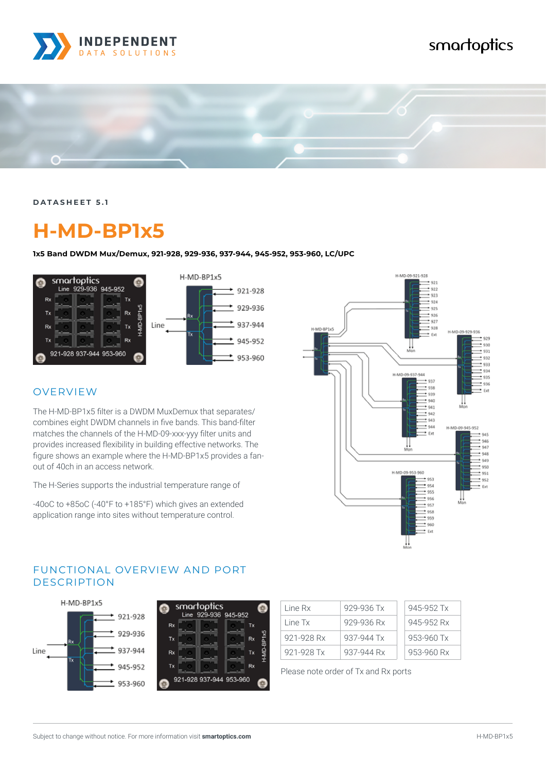

# smartoptics



**DATASHEET 5.1**

# **H-MD-BP1x5**

**1x5 Band DWDM Mux/Demux, 921-928, 929-936, 937-944, 945-952, 953-960, LC/UPC**



### OVERVIEW

The H-MD-BP1x5 filter is a DWDM MuxDemux that separates/ combines eight DWDM channels in five bands. This band-filter matches the channels of the H-MD-09-xxx-yyy filter units and provides increased flexibility in building effective networks. The figure shows an example where the H-MD-BP1x5 provides a fanout of 40ch in an access network.

The H-Series supports the industrial temperature range of

-40oC to +85oC (-40°F to +185°F) which gives an extended application range into sites without temperature control.



#### FUNCTIONAL OVERVIEW AND PORT DESCRIPTION



|           | smartoptics<br>Line 929-936 945-952 |    |            |
|-----------|-------------------------------------|----|------------|
| Rx        |                                     | Tx |            |
| <b>Tx</b> |                                     | Rx | H-MD-BP1x5 |
| Rx        |                                     | Tx |            |
| Tx        |                                     | Rx |            |
|           | 921-928 937-944 953-960             |    |            |

| Line Rx    | 929-936 Tx | 945-952 Tx |  |
|------------|------------|------------|--|
| Line Tx    | 929-936 Rx | 945-952 Rx |  |
| 921-928 Rx | 937-944 Tx | 953-960 Tx |  |
| 921-928 Tx | 937-944 Rx | 953-960 Rx |  |

Please note order of Tx and Rx ports